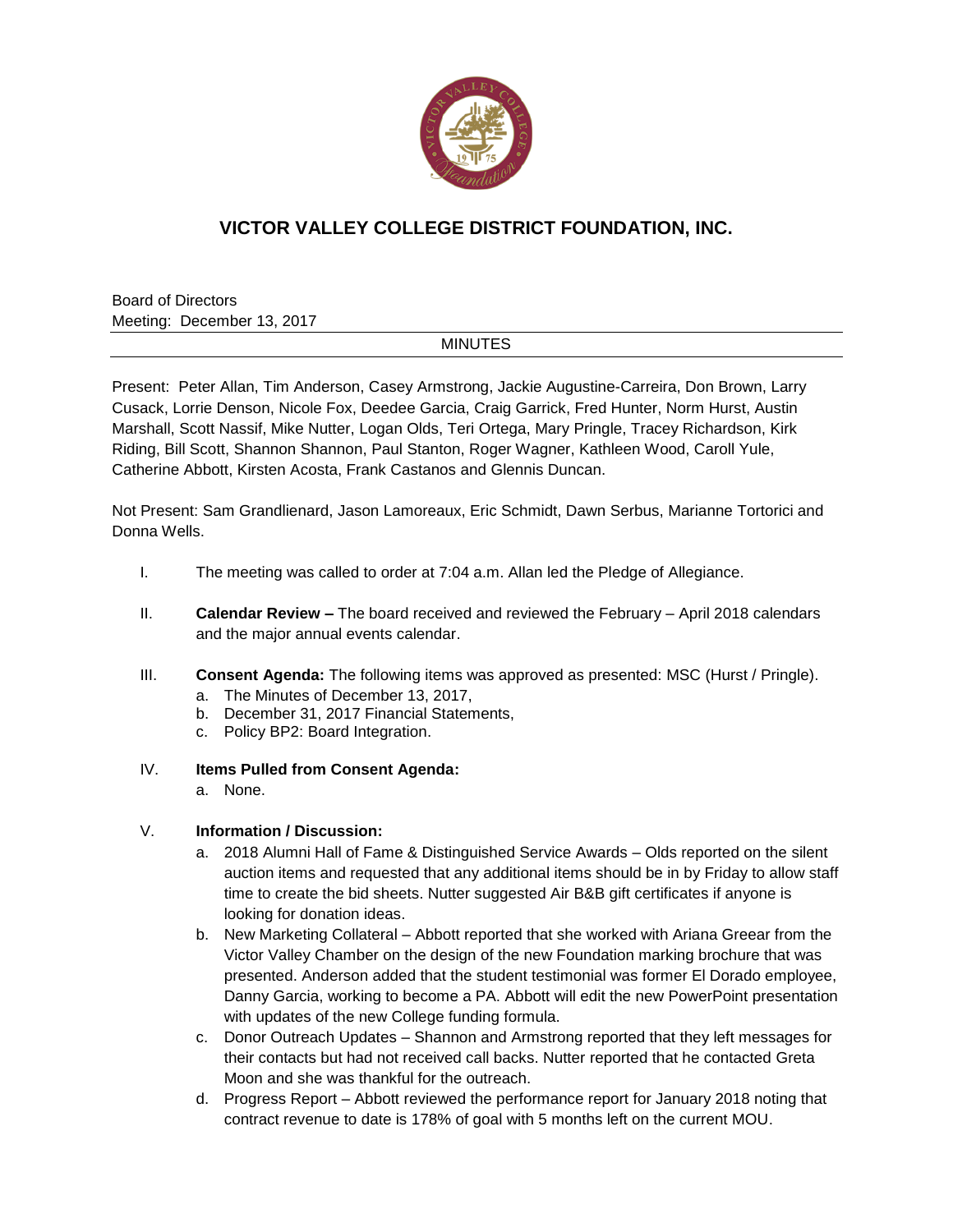

## **VICTOR VALLEY COLLEGE DISTRICT FOUNDATION, INC.**

Board of Directors Meeting: December 13, 2017

## MINUTES

Present: Peter Allan, Tim Anderson, Casey Armstrong, Jackie Augustine-Carreira, Don Brown, Larry Cusack, Lorrie Denson, Nicole Fox, Deedee Garcia, Craig Garrick, Fred Hunter, Norm Hurst, Austin Marshall, Scott Nassif, Mike Nutter, Logan Olds, Teri Ortega, Mary Pringle, Tracey Richardson, Kirk Riding, Bill Scott, Shannon Shannon, Paul Stanton, Roger Wagner, Kathleen Wood, Caroll Yule, Catherine Abbott, Kirsten Acosta, Frank Castanos and Glennis Duncan.

Not Present: Sam Grandlienard, Jason Lamoreaux, Eric Schmidt, Dawn Serbus, Marianne Tortorici and Donna Wells.

- I. The meeting was called to order at 7:04 a.m. Allan led the Pledge of Allegiance.
- II. **Calendar Review –** The board received and reviewed the February April 2018 calendars and the major annual events calendar.
- III. **Consent Agenda:** The following items was approved as presented: MSC (Hurst / Pringle).
	- a. The Minutes of December 13, 2017,
	- b. December 31, 2017 Financial Statements,
	- c. Policy BP2: Board Integration.
- IV. **Items Pulled from Consent Agenda:**
	- a. None.

## V. **Information / Discussion:**

- a. 2018 Alumni Hall of Fame & Distinguished Service Awards Olds reported on the silent auction items and requested that any additional items should be in by Friday to allow staff time to create the bid sheets. Nutter suggested Air B&B gift certificates if anyone is looking for donation ideas.
- b. New Marketing Collateral Abbott reported that she worked with Ariana Greear from the Victor Valley Chamber on the design of the new Foundation marking brochure that was presented. Anderson added that the student testimonial was former El Dorado employee, Danny Garcia, working to become a PA. Abbott will edit the new PowerPoint presentation with updates of the new College funding formula.
- c. Donor Outreach Updates Shannon and Armstrong reported that they left messages for their contacts but had not received call backs. Nutter reported that he contacted Greta Moon and she was thankful for the outreach.
- d. Progress Report Abbott reviewed the performance report for January 2018 noting that contract revenue to date is 178% of goal with 5 months left on the current MOU.